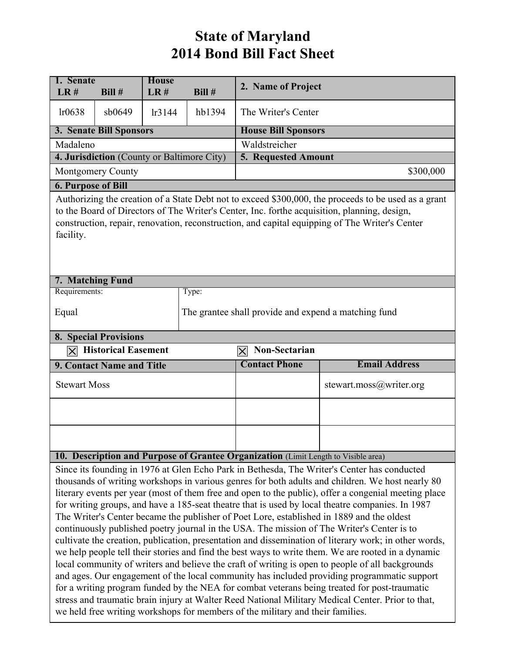## **State of Maryland 2014 Bond Bill Fact Sheet**

| 1. Senate<br>LR#                                                                                                                                                                                                                                                                                                                                                                                                                                                                                                                                                                                                                                                                                                                                                                                                                                                                                                                                                                                                                                                                                                                                                                                                                                                                                                | Bill #                                     | <b>House</b><br>LR# | Bill # | 2. Name of Project                                   |                         |  |  |  |
|-----------------------------------------------------------------------------------------------------------------------------------------------------------------------------------------------------------------------------------------------------------------------------------------------------------------------------------------------------------------------------------------------------------------------------------------------------------------------------------------------------------------------------------------------------------------------------------------------------------------------------------------------------------------------------------------------------------------------------------------------------------------------------------------------------------------------------------------------------------------------------------------------------------------------------------------------------------------------------------------------------------------------------------------------------------------------------------------------------------------------------------------------------------------------------------------------------------------------------------------------------------------------------------------------------------------|--------------------------------------------|---------------------|--------|------------------------------------------------------|-------------------------|--|--|--|
| lr0638                                                                                                                                                                                                                                                                                                                                                                                                                                                                                                                                                                                                                                                                                                                                                                                                                                                                                                                                                                                                                                                                                                                                                                                                                                                                                                          | sb0649                                     | lr3144              | hb1394 | The Writer's Center                                  |                         |  |  |  |
| 3. Senate Bill Sponsors                                                                                                                                                                                                                                                                                                                                                                                                                                                                                                                                                                                                                                                                                                                                                                                                                                                                                                                                                                                                                                                                                                                                                                                                                                                                                         |                                            |                     |        | <b>House Bill Sponsors</b>                           |                         |  |  |  |
| Madaleno                                                                                                                                                                                                                                                                                                                                                                                                                                                                                                                                                                                                                                                                                                                                                                                                                                                                                                                                                                                                                                                                                                                                                                                                                                                                                                        |                                            |                     |        | Waldstreicher                                        |                         |  |  |  |
|                                                                                                                                                                                                                                                                                                                                                                                                                                                                                                                                                                                                                                                                                                                                                                                                                                                                                                                                                                                                                                                                                                                                                                                                                                                                                                                 | 4. Jurisdiction (County or Baltimore City) |                     |        | 5. Requested Amount                                  |                         |  |  |  |
| <b>Montgomery County</b>                                                                                                                                                                                                                                                                                                                                                                                                                                                                                                                                                                                                                                                                                                                                                                                                                                                                                                                                                                                                                                                                                                                                                                                                                                                                                        |                                            |                     |        | \$300,000                                            |                         |  |  |  |
| <b>6. Purpose of Bill</b>                                                                                                                                                                                                                                                                                                                                                                                                                                                                                                                                                                                                                                                                                                                                                                                                                                                                                                                                                                                                                                                                                                                                                                                                                                                                                       |                                            |                     |        |                                                      |                         |  |  |  |
| Authorizing the creation of a State Debt not to exceed \$300,000, the proceeds to be used as a grant<br>to the Board of Directors of The Writer's Center, Inc. forthe acquisition, planning, design,<br>construction, repair, renovation, reconstruction, and capital equipping of The Writer's Center<br>facility.                                                                                                                                                                                                                                                                                                                                                                                                                                                                                                                                                                                                                                                                                                                                                                                                                                                                                                                                                                                             |                                            |                     |        |                                                      |                         |  |  |  |
| 7. Matching Fund                                                                                                                                                                                                                                                                                                                                                                                                                                                                                                                                                                                                                                                                                                                                                                                                                                                                                                                                                                                                                                                                                                                                                                                                                                                                                                |                                            |                     |        |                                                      |                         |  |  |  |
| Requirements:                                                                                                                                                                                                                                                                                                                                                                                                                                                                                                                                                                                                                                                                                                                                                                                                                                                                                                                                                                                                                                                                                                                                                                                                                                                                                                   |                                            |                     | Type:  |                                                      |                         |  |  |  |
| Equal                                                                                                                                                                                                                                                                                                                                                                                                                                                                                                                                                                                                                                                                                                                                                                                                                                                                                                                                                                                                                                                                                                                                                                                                                                                                                                           |                                            |                     |        | The grantee shall provide and expend a matching fund |                         |  |  |  |
|                                                                                                                                                                                                                                                                                                                                                                                                                                                                                                                                                                                                                                                                                                                                                                                                                                                                                                                                                                                                                                                                                                                                                                                                                                                                                                                 | <b>8. Special Provisions</b>               |                     |        |                                                      |                         |  |  |  |
| $ \mathsf{X} $                                                                                                                                                                                                                                                                                                                                                                                                                                                                                                                                                                                                                                                                                                                                                                                                                                                                                                                                                                                                                                                                                                                                                                                                                                                                                                  | <b>Historical Easement</b>                 |                     |        | Non-Sectarian<br>$\boldsymbol{\times}$               |                         |  |  |  |
|                                                                                                                                                                                                                                                                                                                                                                                                                                                                                                                                                                                                                                                                                                                                                                                                                                                                                                                                                                                                                                                                                                                                                                                                                                                                                                                 | 9. Contact Name and Title                  |                     |        | <b>Contact Phone</b>                                 | <b>Email Address</b>    |  |  |  |
| <b>Stewart Moss</b>                                                                                                                                                                                                                                                                                                                                                                                                                                                                                                                                                                                                                                                                                                                                                                                                                                                                                                                                                                                                                                                                                                                                                                                                                                                                                             |                                            |                     |        |                                                      | stewart.moss@writer.org |  |  |  |
|                                                                                                                                                                                                                                                                                                                                                                                                                                                                                                                                                                                                                                                                                                                                                                                                                                                                                                                                                                                                                                                                                                                                                                                                                                                                                                                 |                                            |                     |        |                                                      |                         |  |  |  |
|                                                                                                                                                                                                                                                                                                                                                                                                                                                                                                                                                                                                                                                                                                                                                                                                                                                                                                                                                                                                                                                                                                                                                                                                                                                                                                                 |                                            |                     |        |                                                      |                         |  |  |  |
| 10. Description and Purpose of Grantee Organization (Limit Length to Visible area)                                                                                                                                                                                                                                                                                                                                                                                                                                                                                                                                                                                                                                                                                                                                                                                                                                                                                                                                                                                                                                                                                                                                                                                                                              |                                            |                     |        |                                                      |                         |  |  |  |
| Since its founding in 1976 at Glen Echo Park in Bethesda, The Writer's Center has conducted<br>thousands of writing workshops in various genres for both adults and children. We host nearly 80<br>literary events per year (most of them free and open to the public), offer a congenial meeting place<br>for writing groups, and have a 185-seat theatre that is used by local theatre companies. In 1987<br>The Writer's Center became the publisher of Poet Lore, established in 1889 and the oldest<br>continuously published poetry journal in the USA. The mission of The Writer's Center is to<br>cultivate the creation, publication, presentation and dissemination of literary work; in other words,<br>we help people tell their stories and find the best ways to write them. We are rooted in a dynamic<br>local community of writers and believe the craft of writing is open to people of all backgrounds<br>and ages. Our engagement of the local community has included providing programmatic support<br>for a writing program funded by the NEA for combat veterans being treated for post-traumatic<br>stress and traumatic brain injury at Walter Reed National Military Medical Center. Prior to that,<br>we held free writing workshops for members of the military and their families. |                                            |                     |        |                                                      |                         |  |  |  |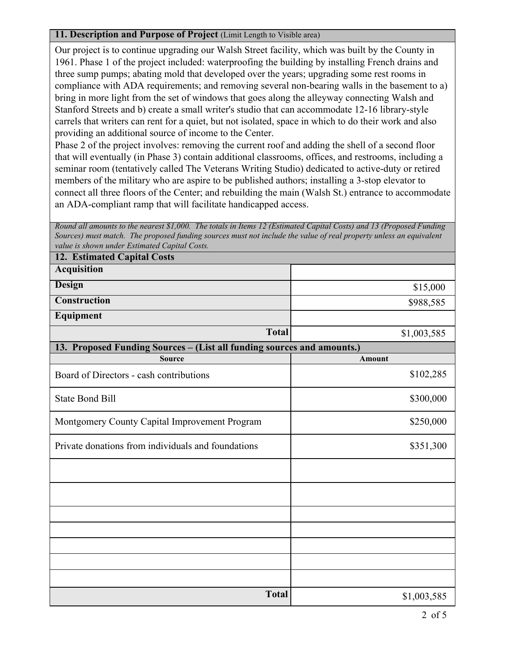## **11. Description and Purpose of Project** (Limit Length to Visible area)

Our project is to continue upgrading our Walsh Street facility, which was built by the County in 1961. Phase 1 of the project included: waterproofing the building by installing French drains and three sump pumps; abating mold that developed over the years; upgrading some rest rooms in compliance with ADA requirements; and removing several non-bearing walls in the basement to a) bring in more light from the set of windows that goes along the alleyway connecting Walsh and Stanford Streets and b) create a small writer's studio that can accommodate 12-16 library-style carrels that writers can rent for a quiet, but not isolated, space in which to do their work and also providing an additional source of income to the Center.

Phase 2 of the project involves: removing the current roof and adding the shell of a second floor that will eventually (in Phase 3) contain additional classrooms, offices, and restrooms, including a seminar room (tentatively called The Veterans Writing Studio) dedicated to active-duty or retired members of the military who are aspire to be published authors; installing a 3-stop elevator to connect all three floors of the Center; and rebuilding the main (Walsh St.) entrance to accommodate

| an ADA-compliant ramp that will facilitate handicapped access.                                                                                                                                                                                                                             |             |  |  |  |
|--------------------------------------------------------------------------------------------------------------------------------------------------------------------------------------------------------------------------------------------------------------------------------------------|-------------|--|--|--|
| Round all amounts to the nearest \$1,000. The totals in Items 12 (Estimated Capital Costs) and 13 (Proposed Funding<br>Sources) must match. The proposed funding sources must not include the value of real property unless an equivalent<br>value is shown under Estimated Capital Costs. |             |  |  |  |
| <b>12. Estimated Capital Costs</b>                                                                                                                                                                                                                                                         |             |  |  |  |
| <b>Acquisition</b>                                                                                                                                                                                                                                                                         |             |  |  |  |
| Design                                                                                                                                                                                                                                                                                     | \$15,000    |  |  |  |
| <b>Construction</b>                                                                                                                                                                                                                                                                        | \$988,585   |  |  |  |
| Equipment                                                                                                                                                                                                                                                                                  |             |  |  |  |
| <b>Total</b>                                                                                                                                                                                                                                                                               | \$1,003,585 |  |  |  |
| 13. Proposed Funding Sources - (List all funding sources and amounts.)                                                                                                                                                                                                                     |             |  |  |  |
| <b>Source</b>                                                                                                                                                                                                                                                                              | Amount      |  |  |  |
| Board of Directors - cash contributions                                                                                                                                                                                                                                                    | \$102,285   |  |  |  |
| <b>State Bond Bill</b>                                                                                                                                                                                                                                                                     | \$300,000   |  |  |  |
| Montgomery County Capital Improvement Program                                                                                                                                                                                                                                              | \$250,000   |  |  |  |
| Private donations from individuals and foundations                                                                                                                                                                                                                                         | \$351,300   |  |  |  |
|                                                                                                                                                                                                                                                                                            |             |  |  |  |
|                                                                                                                                                                                                                                                                                            |             |  |  |  |
|                                                                                                                                                                                                                                                                                            |             |  |  |  |
|                                                                                                                                                                                                                                                                                            |             |  |  |  |
|                                                                                                                                                                                                                                                                                            |             |  |  |  |
|                                                                                                                                                                                                                                                                                            |             |  |  |  |
|                                                                                                                                                                                                                                                                                            |             |  |  |  |
| <b>Total</b>                                                                                                                                                                                                                                                                               | \$1,003,585 |  |  |  |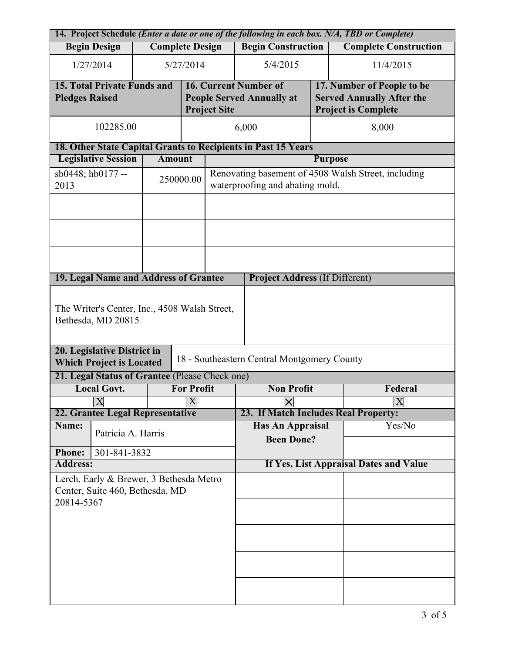| 14. Project Schedule (Enter a date or one of the following in each box. N/A, TBD or Complete) |                                                                |  |                           |                                                                                        |                                             |                                  |                            |  |
|-----------------------------------------------------------------------------------------------|----------------------------------------------------------------|--|---------------------------|----------------------------------------------------------------------------------------|---------------------------------------------|----------------------------------|----------------------------|--|
| <b>Begin Design</b><br><b>Complete Design</b>                                                 |                                                                |  |                           | <b>Begin Construction</b>                                                              | <b>Complete Construction</b>                |                                  |                            |  |
|                                                                                               | 1/27/2014<br>5/27/2014                                         |  |                           | 5/4/2015                                                                               |                                             | 11/4/2015                        |                            |  |
|                                                                                               | <b>15. Total Private Funds and</b>                             |  |                           |                                                                                        | <b>16. Current Number of</b>                |                                  | 17. Number of People to be |  |
| <b>Pledges Raised</b>                                                                         |                                                                |  |                           | <b>People Served Annually at</b>                                                       |                                             | <b>Served Annually After the</b> |                            |  |
|                                                                                               |                                                                |  |                           | <b>Project Site</b>                                                                    |                                             |                                  | <b>Project is Complete</b> |  |
| 102285.00                                                                                     |                                                                |  |                           | 6,000                                                                                  |                                             | 8,000                            |                            |  |
|                                                                                               | 18. Other State Capital Grants to Recipients in Past 15 Years  |  |                           |                                                                                        |                                             |                                  |                            |  |
| <b>Legislative Session</b><br><b>Amount</b>                                                   |                                                                |  |                           | <b>Purpose</b>                                                                         |                                             |                                  |                            |  |
| 2013                                                                                          | sb0448; hb0177 --                                              |  | 250000.00                 | Renovating basement of 4508 Walsh Street, including<br>waterproofing and abating mold. |                                             |                                  |                            |  |
|                                                                                               |                                                                |  |                           |                                                                                        |                                             |                                  |                            |  |
|                                                                                               |                                                                |  |                           |                                                                                        |                                             |                                  |                            |  |
|                                                                                               |                                                                |  |                           |                                                                                        |                                             |                                  |                            |  |
|                                                                                               | 19. Legal Name and Address of Grantee                          |  |                           |                                                                                        | <b>Project Address (If Different)</b>       |                                  |                            |  |
| The Writer's Center, Inc., 4508 Walsh Street,<br>Bethesda, MD 20815                           |                                                                |  |                           |                                                                                        |                                             |                                  |                            |  |
|                                                                                               | 20. Legislative District in<br><b>Which Project is Located</b> |  |                           |                                                                                        | 18 - Southeastern Central Montgomery County |                                  |                            |  |
|                                                                                               | 21. Legal Status of Grantee (Please Check one)                 |  |                           |                                                                                        |                                             |                                  |                            |  |
| <b>Local Govt.</b>                                                                            |                                                                |  | <b>For Profit</b>         |                                                                                        | <b>Non Profit</b>                           |                                  | Federal                    |  |
|                                                                                               | $\overline{X}$                                                 |  | $\boldsymbol{\mathrm{X}}$ |                                                                                        | $\pmb{\times}$                              |                                  | $ \mathbf{X} $             |  |
|                                                                                               | 22. Grantee Legal Representative                               |  |                           |                                                                                        | 23. If Match Includes Real Property:        |                                  |                            |  |
|                                                                                               | Name:<br>Patricia A. Harris                                    |  |                           |                                                                                        | <b>Has An Appraisal</b>                     |                                  | Yes/No                     |  |
|                                                                                               |                                                                |  |                           |                                                                                        | <b>Been Done?</b>                           |                                  |                            |  |
| <b>Phone:</b>                                                                                 | 301-841-3832                                                   |  |                           |                                                                                        |                                             |                                  |                            |  |
| <b>Address:</b>                                                                               |                                                                |  |                           |                                                                                        | If Yes, List Appraisal Dates and Value      |                                  |                            |  |
| Lerch, Early & Brewer, 3 Bethesda Metro                                                       |                                                                |  |                           |                                                                                        |                                             |                                  |                            |  |
| Center, Suite 460, Bethesda, MD                                                               |                                                                |  |                           |                                                                                        |                                             |                                  |                            |  |
| 20814-5367                                                                                    |                                                                |  |                           |                                                                                        |                                             |                                  |                            |  |
|                                                                                               |                                                                |  |                           |                                                                                        |                                             |                                  |                            |  |
|                                                                                               |                                                                |  |                           |                                                                                        |                                             |                                  |                            |  |
|                                                                                               |                                                                |  |                           |                                                                                        |                                             |                                  |                            |  |
|                                                                                               |                                                                |  |                           |                                                                                        |                                             |                                  |                            |  |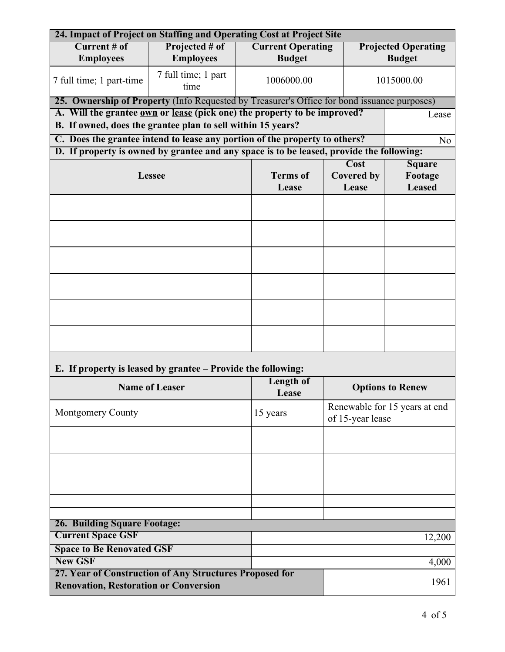| 24. Impact of Project on Staffing and Operating Cost at Project Site                     |                                                                                             |                          |  |                            |               |  |  |  |
|------------------------------------------------------------------------------------------|---------------------------------------------------------------------------------------------|--------------------------|--|----------------------------|---------------|--|--|--|
| Current # of                                                                             |                                                                                             | <b>Current Operating</b> |  | <b>Projected Operating</b> |               |  |  |  |
| <b>Employees</b>                                                                         | <b>Employees</b>                                                                            | <b>Budget</b>            |  |                            | <b>Budget</b> |  |  |  |
| 7 full time; 1 part-time                                                                 | 7 full time; 1 part<br>time                                                                 |                          |  |                            | 1015000.00    |  |  |  |
|                                                                                          | 25. Ownership of Property (Info Requested by Treasurer's Office for bond issuance purposes) |                          |  |                            |               |  |  |  |
|                                                                                          | A. Will the grantee own or lease (pick one) the property to be improved?<br>Lease           |                          |  |                            |               |  |  |  |
| B. If owned, does the grantee plan to sell within 15 years?                              |                                                                                             |                          |  |                            |               |  |  |  |
| C. Does the grantee intend to lease any portion of the property to others?<br>No         |                                                                                             |                          |  |                            |               |  |  |  |
| D. If property is owned by grantee and any space is to be leased, provide the following: |                                                                                             |                          |  |                            |               |  |  |  |
|                                                                                          |                                                                                             |                          |  | <b>Cost</b>                | <b>Square</b> |  |  |  |
|                                                                                          | <b>Lessee</b>                                                                               |                          |  |                            | Footage       |  |  |  |
|                                                                                          |                                                                                             | Lease                    |  | Lease                      | <b>Leased</b> |  |  |  |
|                                                                                          |                                                                                             |                          |  |                            |               |  |  |  |
| E. If property is leased by grantee – Provide the following:                             |                                                                                             |                          |  |                            |               |  |  |  |

| $\mathbf{r}$ - $\mathbf{r}$ by $\mathbf{r}$ - $\mathbf{r}$ - $\mathbf{r}$ - $\mathbf{r}$ - $\mathbf{r}$ $\mathbf{r}$ $\mathbf{r}$ $\mathbf{r}$ |                           |                                                   |  |  |  |
|------------------------------------------------------------------------------------------------------------------------------------------------|---------------------------|---------------------------------------------------|--|--|--|
| <b>Name of Leaser</b>                                                                                                                          | <b>Length of</b><br>Lease | <b>Options to Renew</b>                           |  |  |  |
| <b>Montgomery County</b>                                                                                                                       | 15 years                  | Renewable for 15 years at end<br>of 15-year lease |  |  |  |
|                                                                                                                                                |                           |                                                   |  |  |  |
|                                                                                                                                                |                           |                                                   |  |  |  |
|                                                                                                                                                |                           |                                                   |  |  |  |
|                                                                                                                                                |                           |                                                   |  |  |  |
|                                                                                                                                                |                           |                                                   |  |  |  |
| <b>26. Building Square Footage:</b>                                                                                                            |                           |                                                   |  |  |  |
| <b>Current Space GSF</b>                                                                                                                       |                           | 12,200                                            |  |  |  |
| <b>Space to Be Renovated GSF</b>                                                                                                               |                           |                                                   |  |  |  |
| <b>New GSF</b>                                                                                                                                 | 4,000                     |                                                   |  |  |  |
| 27. Year of Construction of Any Structures Proposed for<br><b>Renovation, Restoration or Conversion</b>                                        | 1961                      |                                                   |  |  |  |